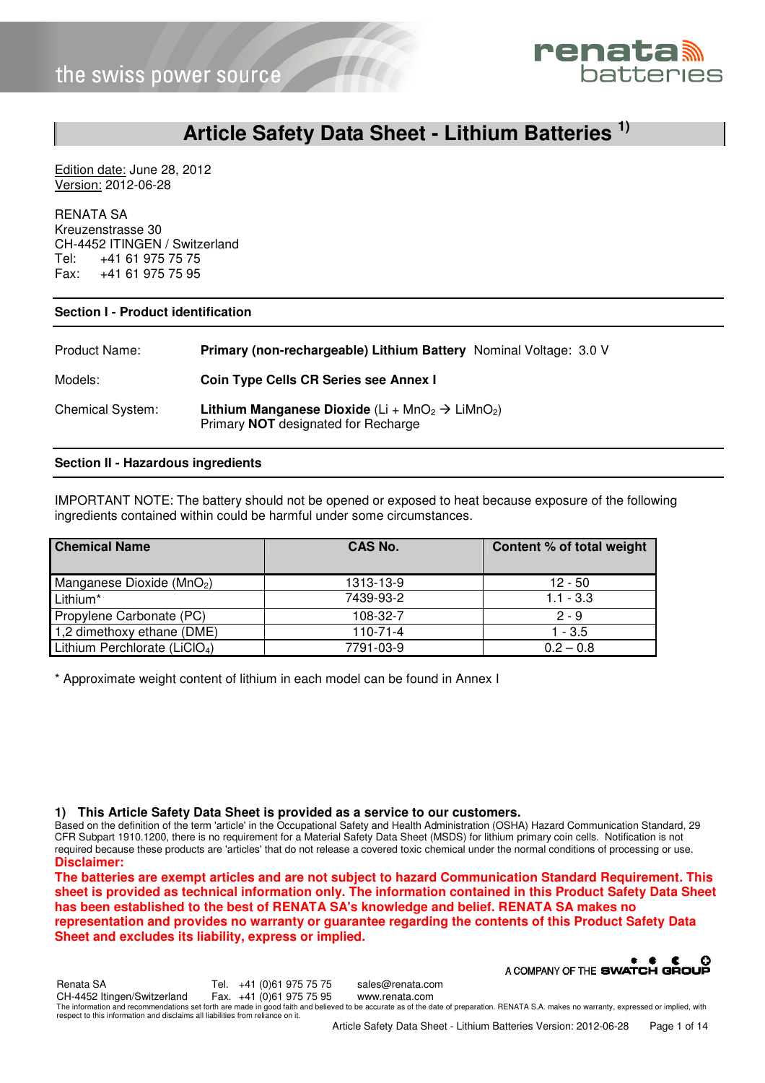

### **Article Safety Data Sheet - Lithium Batteries 1)**

Edition date: June 28, 2012 Version: 2012-06-28

RENATA SA Kreuzenstrasse 30 CH-4452 ITINGEN / Switzerland Tel: +41 61 975 75 75 Fax: +41 61 975 75 95

#### **Section I - Product identification**

| Product Name:           | Primary (non-rechargeable) Lithium Battery Nominal Voltage: 3.0 V                                                                        |
|-------------------------|------------------------------------------------------------------------------------------------------------------------------------------|
| Models:                 | Coin Type Cells CR Series see Annex I                                                                                                    |
| <b>Chemical System:</b> | <b>Lithium Manganese Dioxide</b> (Li + MnO <sub>2</sub> $\rightarrow$ LiMnO <sub>2</sub> )<br>Primary <b>NOT</b> designated for Recharge |

#### **Section II - Hazardous ingredients**

IMPORTANT NOTE: The battery should not be opened or exposed to heat because exposure of the following ingredients contained within could be harmful under some circumstances.

| <b>Chemical Name</b>                      | <b>CAS No.</b> | Content % of total weight |
|-------------------------------------------|----------------|---------------------------|
|                                           |                |                           |
| Manganese Dioxide (MnO <sub>2</sub> )     | 1313-13-9      | $12 - 50$                 |
| Lithium <sup>*</sup>                      | 7439-93-2      | $1.1 - 3.3$               |
| Propylene Carbonate (PC)                  | 108-32-7       | $2 - 9$                   |
| 1,2 dimethoxy ethane (DME)                | $110 - 71 - 4$ | 1 - 3.5                   |
| Lithium Perchlorate (LiCIO <sub>4</sub> ) | 7791-03-9      | $0.2 - 0.8$               |

\* Approximate weight content of lithium in each model can be found in Annex I

**1) This Article Safety Data Sheet is provided as a service to our customers.** 

Based on the definition of the term 'article' in the Occupational Safety and Health Administration (OSHA) Hazard Communication Standard, 29 CFR Subpart 1910.1200, there is no requirement for a Material Safety Data Sheet (MSDS) for lithium primary coin cells. Notification is not required because these products are 'articles' that do not release a covered toxic chemical under the normal conditions of processing or use. **Disclaimer:** 

**The batteries are exempt articles and are not subject to hazard Communication Standard Requirement. This sheet is provided as technical information only. The information contained in this Product Safety Data Sheet has been established to the best of RENATA SA's knowledge and belief. RENATA SA makes no representation and provides no warranty or guarantee regarding the contents of this Product Safety Data Sheet and excludes its liability, express or implied.** 

A COMPANY OF THE SWATCH GROUP Renata SA Tel. +41 (0)61 975 75 75 sales@renata.com CH-4452 Itingen/Switzerland The information and recommendations set forth are made in good faith and believed to be accurate as of the date of preparation. RENATA S.A. makes no warranty, expressed or implied, with respect to this information and disclaims all liabilities from reliance on it.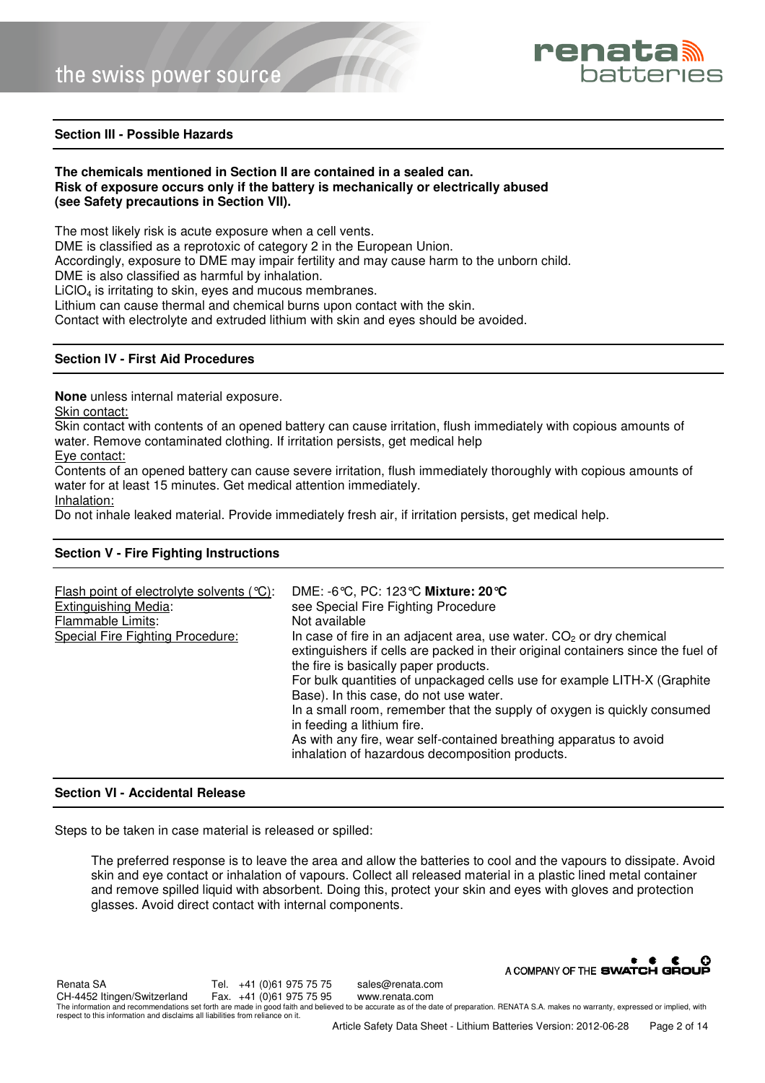

#### **Section III - Possible Hazards**

#### **The chemicals mentioned in Section II are contained in a sealed can. Risk of exposure occurs only if the battery is mechanically or electrically abused (see Safety precautions in Section VII).**

The most likely risk is acute exposure when a cell vents.

DME is classified as a reprotoxic of category 2 in the European Union.

Accordingly, exposure to DME may impair fertility and may cause harm to the unborn child.

DME is also classified as harmful by inhalation.

LiCIO<sub>4</sub> is irritating to skin, eyes and mucous membranes.

Lithium can cause thermal and chemical burns upon contact with the skin.

Contact with electrolyte and extruded lithium with skin and eyes should be avoided.

#### **Section IV - First Aid Procedures**

**None** unless internal material exposure.

Skin contact:

Skin contact with contents of an opened battery can cause irritation, flush immediately with copious amounts of water. Remove contaminated clothing. If irritation persists, get medical help

Eye contact:

Contents of an opened battery can cause severe irritation, flush immediately thoroughly with copious amounts of water for at least 15 minutes. Get medical attention immediately.

Inhalation:

Do not inhale leaked material. Provide immediately fresh air, if irritation persists, get medical help.

#### **Section V - Fire Fighting Instructions**

| Flash point of electrolyte solvents $(°C)$ :<br><b>Extinguishing Media:</b><br>Flammable Limits:<br>Special Fire Fighting Procedure: | DME: -6℃, PC: 123℃ Mixture: 20℃<br>see Special Fire Fighting Procedure<br>Not available<br>In case of fire in an adjacent area, use water. $CO2$ or dry chemical<br>extinguishers if cells are packed in their original containers since the fuel of<br>the fire is basically paper products.<br>For bulk quantities of unpackaged cells use for example LITH-X (Graphite<br>Base). In this case, do not use water.<br>In a small room, remember that the supply of oxygen is quickly consumed<br>in feeding a lithium fire.<br>As with any fire, wear self-contained breathing apparatus to avoid |
|--------------------------------------------------------------------------------------------------------------------------------------|----------------------------------------------------------------------------------------------------------------------------------------------------------------------------------------------------------------------------------------------------------------------------------------------------------------------------------------------------------------------------------------------------------------------------------------------------------------------------------------------------------------------------------------------------------------------------------------------------|
|                                                                                                                                      | inhalation of hazardous decomposition products.                                                                                                                                                                                                                                                                                                                                                                                                                                                                                                                                                    |

#### **Section VI - Accidental Release**

Steps to be taken in case material is released or spilled:

The preferred response is to leave the area and allow the batteries to cool and the vapours to dissipate. Avoid skin and eye contact or inhalation of vapours. Collect all released material in a plastic lined metal container and remove spilled liquid with absorbent. Doing this, protect your skin and eyes with gloves and protection glasses. Avoid direct contact with internal components.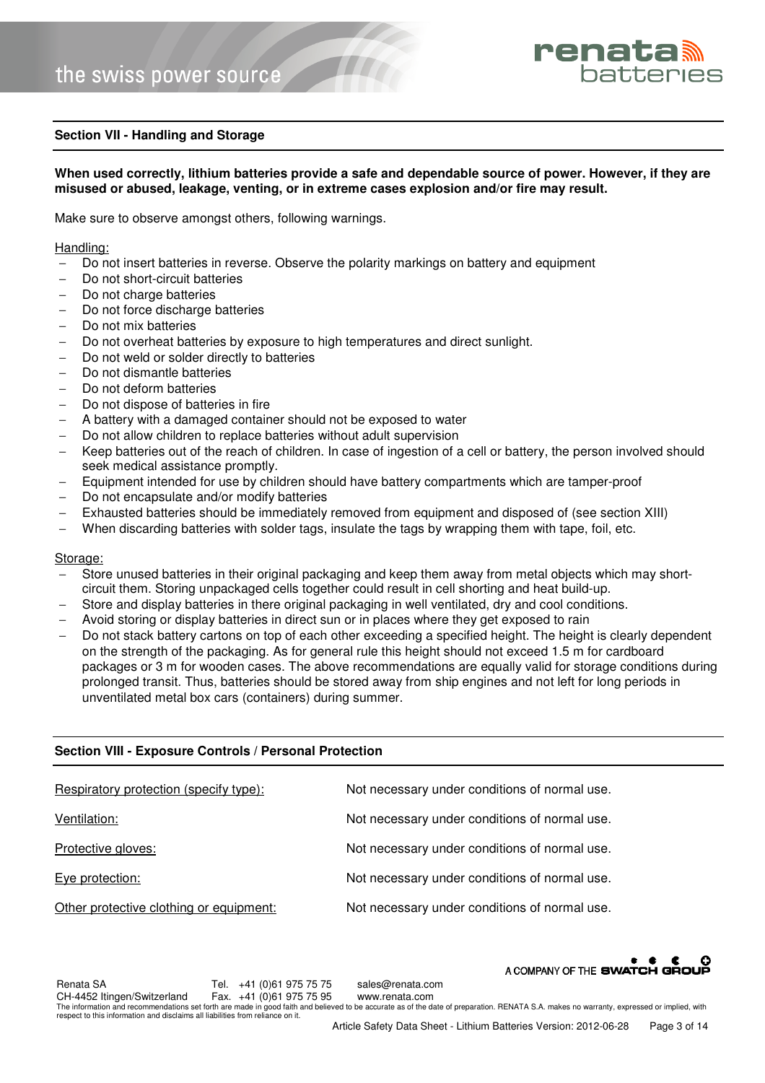

#### **Section VII - Handling and Storage**

#### **When used correctly, lithium batteries provide a safe and dependable source of power. However, if they are misused or abused, leakage, venting, or in extreme cases explosion and/or fire may result.**

Make sure to observe amongst others, following warnings.

#### Handling:

- Do not insert batteries in reverse. Observe the polarity markings on battery and equipment
- Do not short-circuit batteries
- Do not charge batteries
- Do not force discharge batteries
- Do not mix batteries
- Do not overheat batteries by exposure to high temperatures and direct sunlight.
- Do not weld or solder directly to batteries
- Do not dismantle batteries
- − Do not deform batteries
- Do not dispose of batteries in fire
- A battery with a damaged container should not be exposed to water
- − Do not allow children to replace batteries without adult supervision
- − Keep batteries out of the reach of children. In case of ingestion of a cell or battery, the person involved should seek medical assistance promptly.
- Equipment intended for use by children should have battery compartments which are tamper-proof
- Do not encapsulate and/or modify batteries
- Exhausted batteries should be immediately removed from equipment and disposed of (see section XIII)
- When discarding batteries with solder tags, insulate the tags by wrapping them with tape, foil, etc.

#### Storage:

- Store unused batteries in their original packaging and keep them away from metal objects which may shortcircuit them. Storing unpackaged cells together could result in cell shorting and heat build-up.
- Store and display batteries in there original packaging in well ventilated, dry and cool conditions.
- − Avoid storing or display batteries in direct sun or in places where they get exposed to rain
- Do not stack battery cartons on top of each other exceeding a specified height. The height is clearly dependent on the strength of the packaging. As for general rule this height should not exceed 1.5 m for cardboard packages or 3 m for wooden cases. The above recommendations are equally valid for storage conditions during prolonged transit. Thus, batteries should be stored away from ship engines and not left for long periods in unventilated metal box cars (containers) during summer.

#### **Section VIII - Exposure Controls / Personal Protection**

| Respiratory protection (specify type):  | Not necessary under conditions of normal use. |
|-----------------------------------------|-----------------------------------------------|
| Ventilation:                            | Not necessary under conditions of normal use. |
| Protective gloves:                      | Not necessary under conditions of normal use. |
| Eye protection:                         | Not necessary under conditions of normal use. |
| Other protective clothing or equipment: | Not necessary under conditions of normal use. |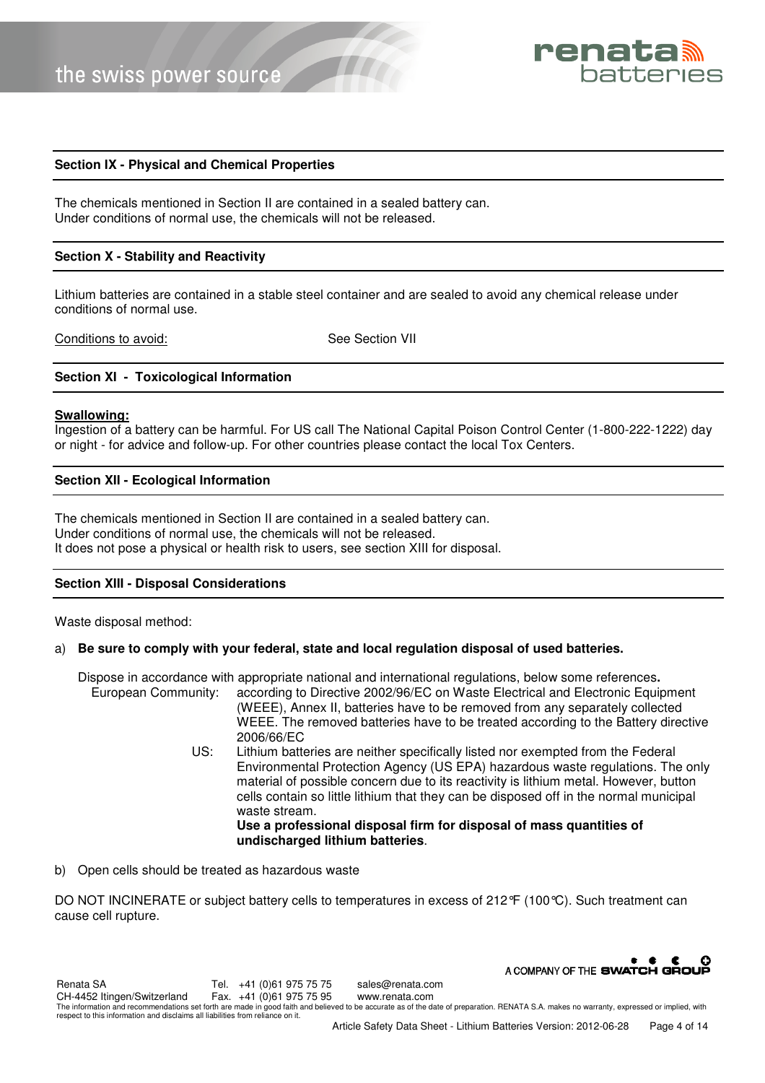

#### **Section IX - Physical and Chemical Properties**

The chemicals mentioned in Section II are contained in a sealed battery can. Under conditions of normal use, the chemicals will not be released.

#### **Section X - Stability and Reactivity**

Lithium batteries are contained in a stable steel container and are sealed to avoid any chemical release under conditions of normal use.

Conditions to avoid: See Section VII

#### **Section XI - Toxicological Information**

#### **Swallowing:**

Ingestion of a battery can be harmful. For US call The National Capital Poison Control Center (1-800-222-1222) day or night - for advice and follow-up. For other countries please contact the local Tox Centers.

#### **Section XII - Ecological Information**

The chemicals mentioned in Section II are contained in a sealed battery can. Under conditions of normal use, the chemicals will not be released. It does not pose a physical or health risk to users, see section XIII for disposal.

#### **Section XIII - Disposal Considerations**

Waste disposal method:

#### a) **Be sure to comply with your federal, state and local regulation disposal of used batteries.**

Dispose in accordance with appropriate national and international regulations, below some references**.** European Community: according to Directive 2002/96/EC on Waste Electrical and Electronic Equipment (WEEE), Annex II, batteries have to be removed from any separately collected

 WEEE. The removed batteries have to be treated according to the Battery directive 2006/66/EC<br>US: Lithium batte

Lithium batteries are neither specifically listed nor exempted from the Federal Environmental Protection Agency (US EPA) hazardous waste regulations. The only material of possible concern due to its reactivity is lithium metal. However, button cells contain so little lithium that they can be disposed off in the normal municipal waste stream.

**Use a professional disposal firm for disposal of mass quantities of undischarged lithium batteries**.

b) Open cells should be treated as hazardous waste

DO NOT INCINERATE or subject battery cells to temperatures in excess of 212°F (100℃). Such treatment can cause cell rupture.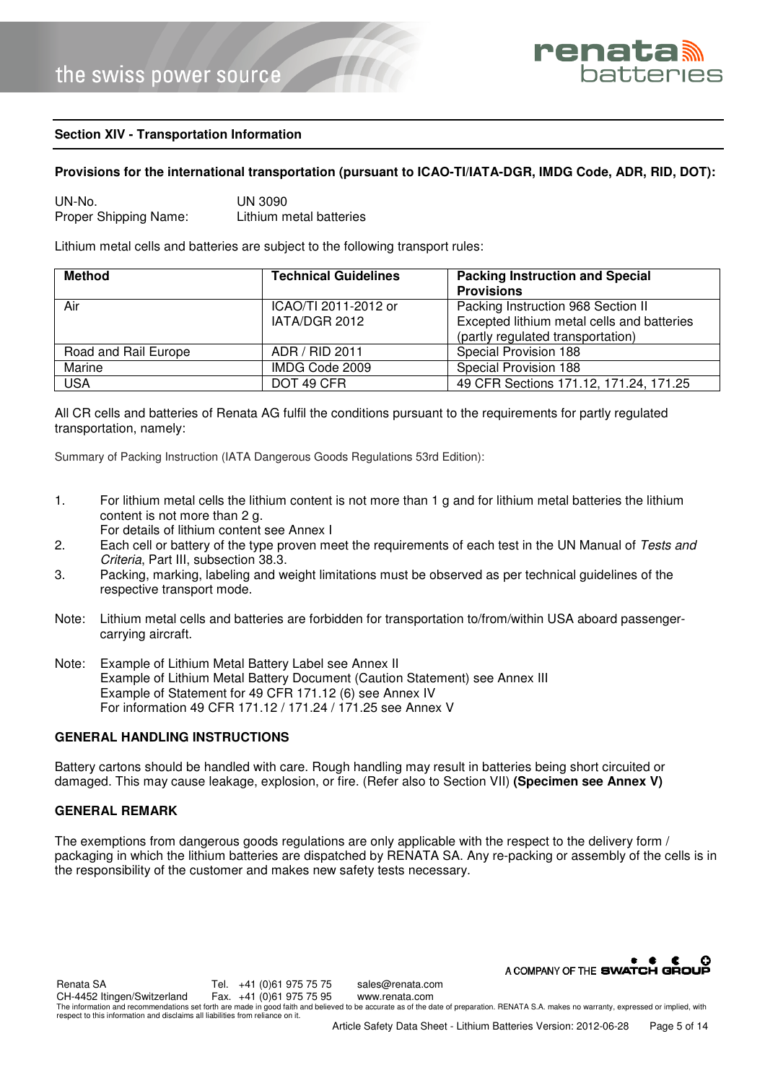

#### **Section XIV - Transportation Information**

#### **Provisions for the international transportation (pursuant to ICAO-TI/IATA-DGR, IMDG Code, ADR, RID, DOT):**

| UN-No.                | UN 3090                 |
|-----------------------|-------------------------|
| Proper Shipping Name: | Lithium metal batteries |

Lithium metal cells and batteries are subject to the following transport rules:

| <b>Method</b>        | <b>Technical Guidelines</b>           | <b>Packing Instruction and Special</b><br><b>Provisions</b>                                                           |
|----------------------|---------------------------------------|-----------------------------------------------------------------------------------------------------------------------|
| Air                  | ICAO/TI 2011-2012 or<br>IATA/DGR 2012 | Packing Instruction 968 Section II<br>Excepted lithium metal cells and batteries<br>(partly regulated transportation) |
| Road and Rail Europe | ADR / RID 2011                        | Special Provision 188                                                                                                 |
| Marine               | IMDG Code 2009                        | Special Provision 188                                                                                                 |
| <b>USA</b>           | DOT 49 CFR                            | 49 CFR Sections 171.12, 171.24, 171.25                                                                                |

All CR cells and batteries of Renata AG fulfil the conditions pursuant to the requirements for partly regulated transportation, namely:

Summary of Packing Instruction (IATA Dangerous Goods Regulations 53rd Edition):

- 1. For lithium metal cells the lithium content is not more than 1 g and for lithium metal batteries the lithium content is not more than 2 g.
	- For details of lithium content see Annex I
- 2. Each cell or battery of the type proven meet the requirements of each test in the UN Manual of Tests and Criteria, Part III, subsection 38.3.
- 3. Packing, marking, labeling and weight limitations must be observed as per technical guidelines of the respective transport mode.
- Note: Lithium metal cells and batteries are forbidden for transportation to/from/within USA aboard passengercarrying aircraft.
- Note: Example of Lithium Metal Battery Label see Annex II Example of Lithium Metal Battery Document (Caution Statement) see Annex III Example of Statement for 49 CFR 171.12 (6) see Annex IV For information 49 CFR 171.12 / 171.24 / 171.25 see Annex V

#### **GENERAL HANDLING INSTRUCTIONS**

Battery cartons should be handled with care. Rough handling may result in batteries being short circuited or damaged. This may cause leakage, explosion, or fire. (Refer also to Section VII) **(Specimen see Annex V)** 

#### **GENERAL REMARK**

The exemptions from dangerous goods regulations are only applicable with the respect to the delivery form / packaging in which the lithium batteries are dispatched by RENATA SA. Any re-packing or assembly of the cells is in the responsibility of the customer and makes new safety tests necessary.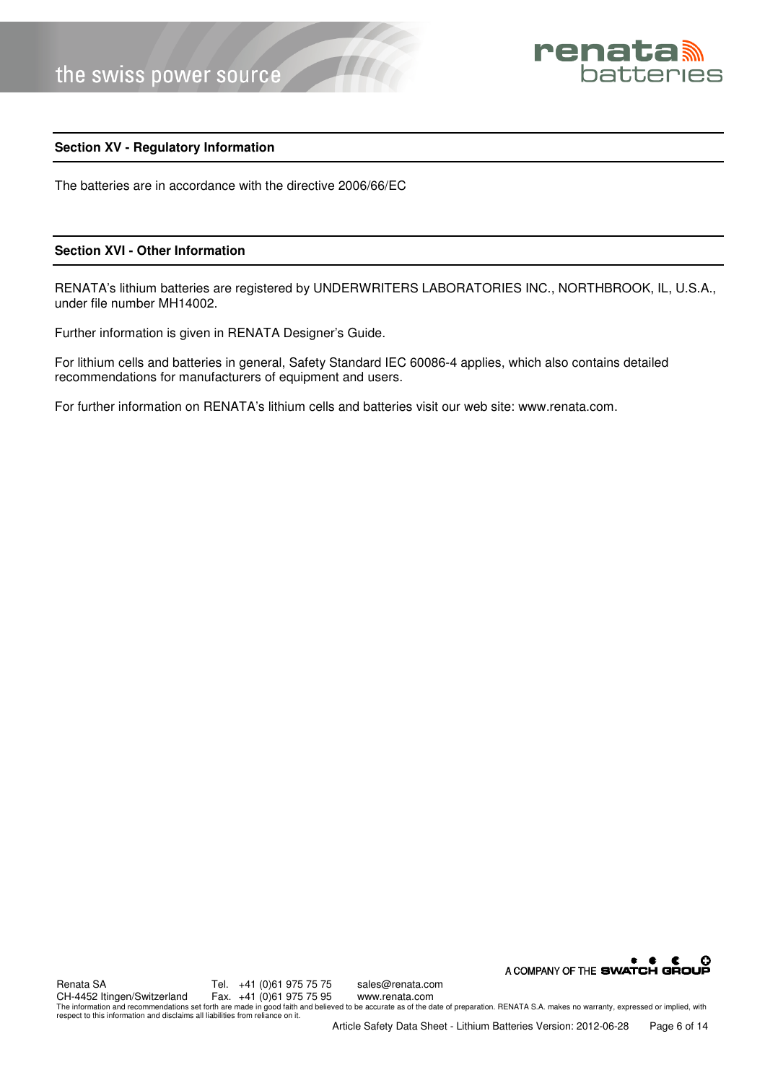

#### **Section XV - Regulatory Information**

The batteries are in accordance with the directive 2006/66/EC

#### **Section XVI - Other Information**

RENATA's lithium batteries are registered by UNDERWRITERS LABORATORIES INC., NORTHBROOK, IL, U.S.A., under file number MH14002.

Further information is given in RENATA Designer's Guide.

For lithium cells and batteries in general, Safety Standard IEC 60086-4 applies, which also contains detailed recommendations for manufacturers of equipment and users.

For further information on RENATA's lithium cells and batteries visit our web site: www.renata.com.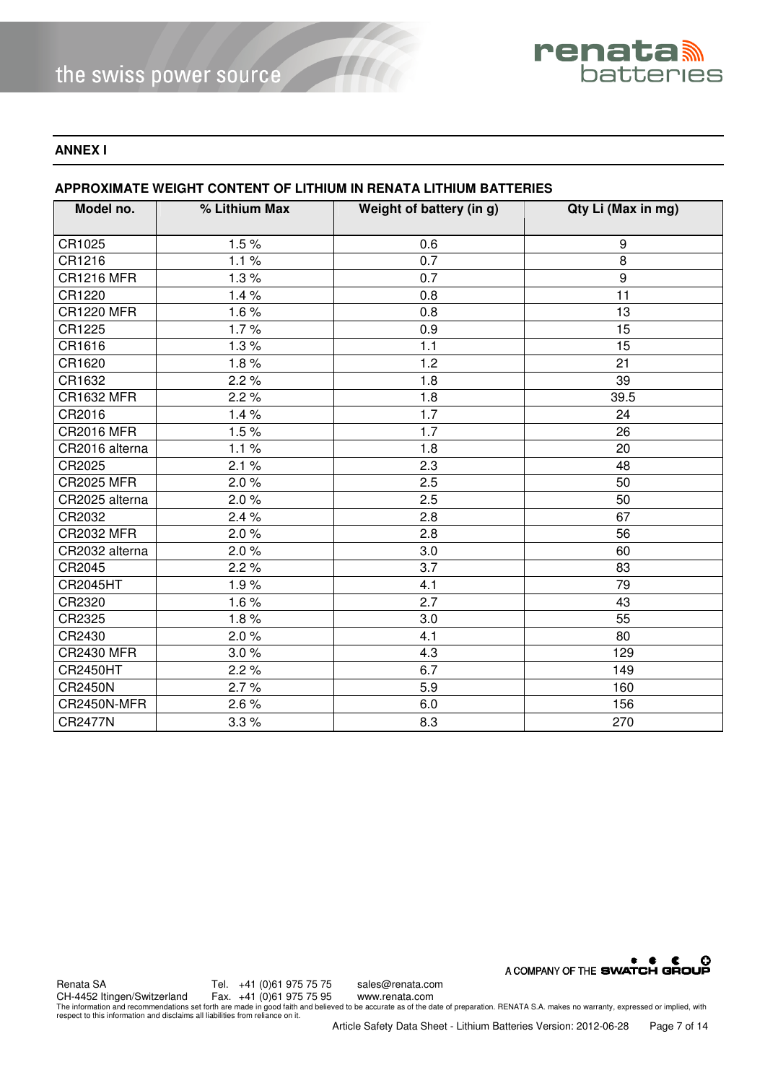

#### **ANNEX I**

#### **APPROXIMATE WEIGHT CONTENT OF LITHIUM IN RENATA LITHIUM BATTERIES**

| Model no.         | % Lithium Max | Weight of battery (in g) | Qty Li (Max in mg) |
|-------------------|---------------|--------------------------|--------------------|
|                   |               |                          |                    |
| CR1025            | 1.5%          | 0.6                      | 9                  |
| CR1216            | 1.1%          | 0.7                      | 8                  |
| <b>CR1216 MFR</b> | 1.3%          | 0.7                      | 9                  |
| CR1220            | 1.4%          | 0.8                      | 11                 |
| <b>CR1220 MFR</b> | 1.6%          | 0.8                      | 13                 |
| CR1225            | 1.7%          | 0.9                      | 15                 |
| CR1616            | 1.3%          | 1.1                      | 15                 |
| CR1620            | 1.8%          | 1.2                      | 21                 |
| CR1632            | 2.2%          | 1.8                      | 39                 |
| <b>CR1632 MFR</b> | 2.2%          | 1.8                      | 39.5               |
| CR2016            | 1.4%          | 1.7                      | 24                 |
| <b>CR2016 MFR</b> | 1.5%          | 1.7                      | 26                 |
| CR2016 alterna    | 1.1%          | 1.8                      | 20                 |
| CR2025            | 2.1%          | 2.3                      | 48                 |
| <b>CR2025 MFR</b> | 2.0%          | 2.5                      | 50                 |
| CR2025 alterna    | 2.0%          | 2.5                      | 50                 |
| CR2032            | 2.4%          | 2.8                      | 67                 |
| <b>CR2032 MFR</b> | 2.0%          | 2.8                      | 56                 |
| CR2032 alterna    | 2.0%          | 3.0                      | 60                 |
| CR2045            | 2.2%          | 3.7                      | 83                 |
| <b>CR2045HT</b>   | 1.9%          | 4.1                      | 79                 |
| CR2320            | 1.6%          | 2.7                      | 43                 |
| CR2325            | 1.8%          | 3.0                      | 55                 |
| CR2430            | 2.0%          | 4.1                      | 80                 |
| <b>CR2430 MFR</b> | 3.0%          | 4.3                      | 129                |
| <b>CR2450HT</b>   | 2.2%          | 6.7                      | 149                |
| <b>CR2450N</b>    | 2.7%          | 5.9                      | 160                |
| CR2450N-MFR       | 2.6%          | 6.0                      | 156                |
| <b>CR2477N</b>    | 3.3%          | 8.3                      | 270                |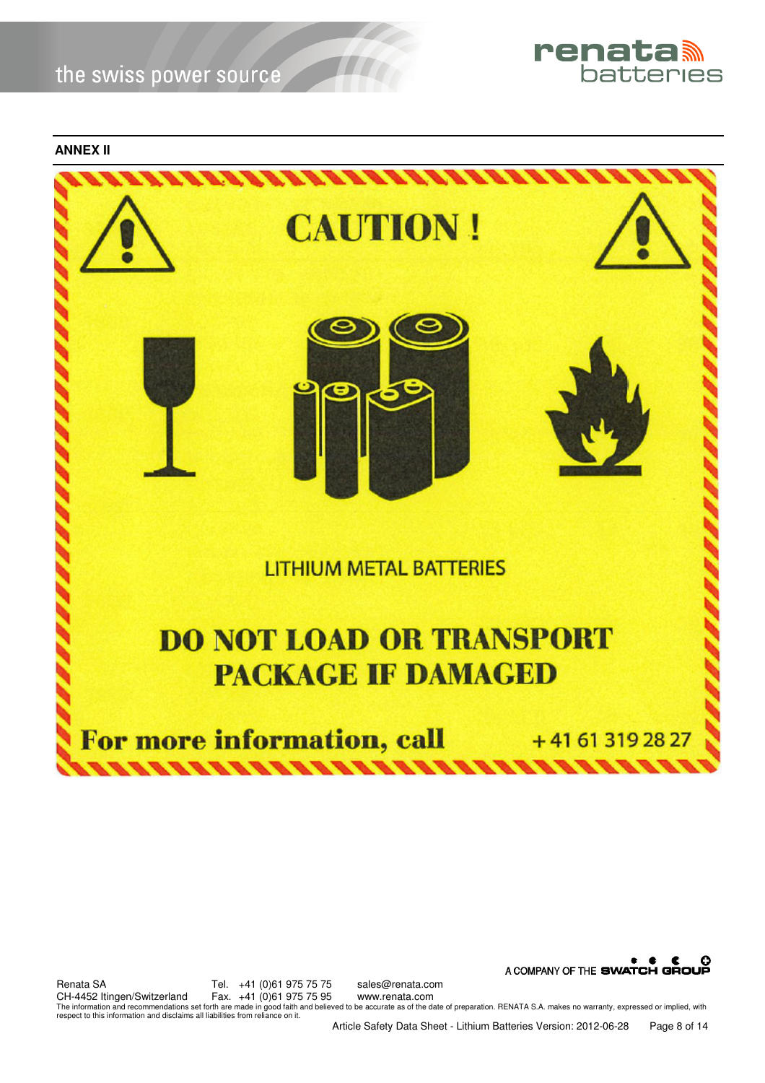the swiss power source



**ANNEX II** 





Renata SA Tel. +41 (0)61 975 75 75 sales@renata.com CH-4452 Itingen/Switzerland The information and recommendation are made in good for the accurate as of the date of preparation. RENATA S.A. makes no warranty, expressed or implied, with The information and recommendations set forth are made in good faith and believed to respect to this information and disclaims all liabilities from reliance on it.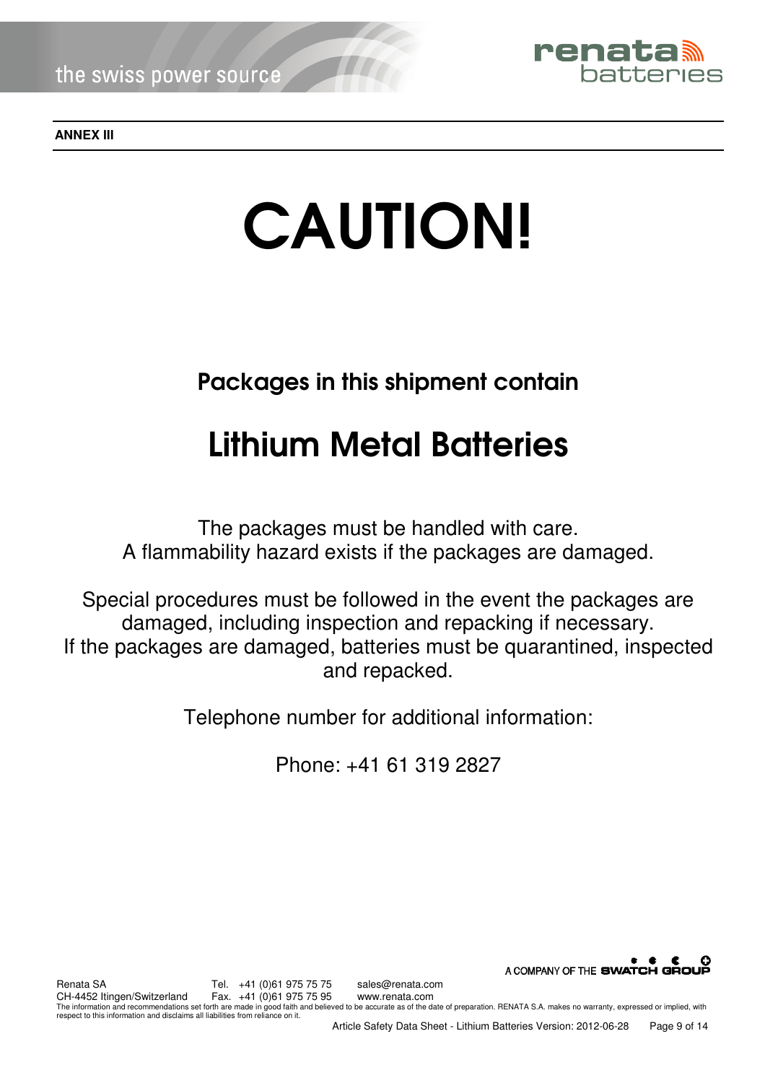

# CAUTION!

## Packages in this shipment contain

# Lithium Metal Batteries

The packages must be handled with care. A flammability hazard exists if the packages are damaged.

Special procedures must be followed in the event the packages are damaged, including inspection and repacking if necessary. If the packages are damaged, batteries must be quarantined, inspected and repacked.

Telephone number for additional information:

Phone: +41 61 319 2827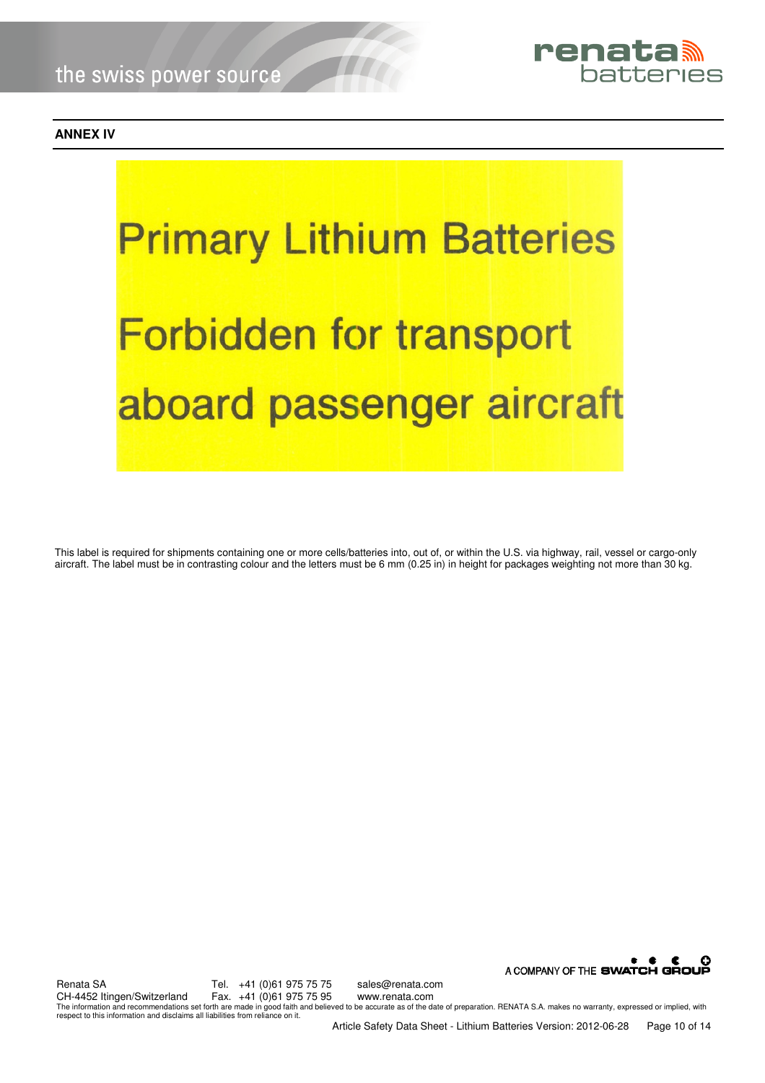

#### **ANNEX IV**

# **Primary Lithium Batteries Forbidden for transport** aboard passenger aircraft

This label is required for shipments containing one or more cells/batteries into, out of, or within the U.S. via highway, rail, vessel or cargo-only aircraft. The label must be in contrasting colour and the letters must be 6 mm (0.25 in) in height for packages weighting not more than 30 kg.

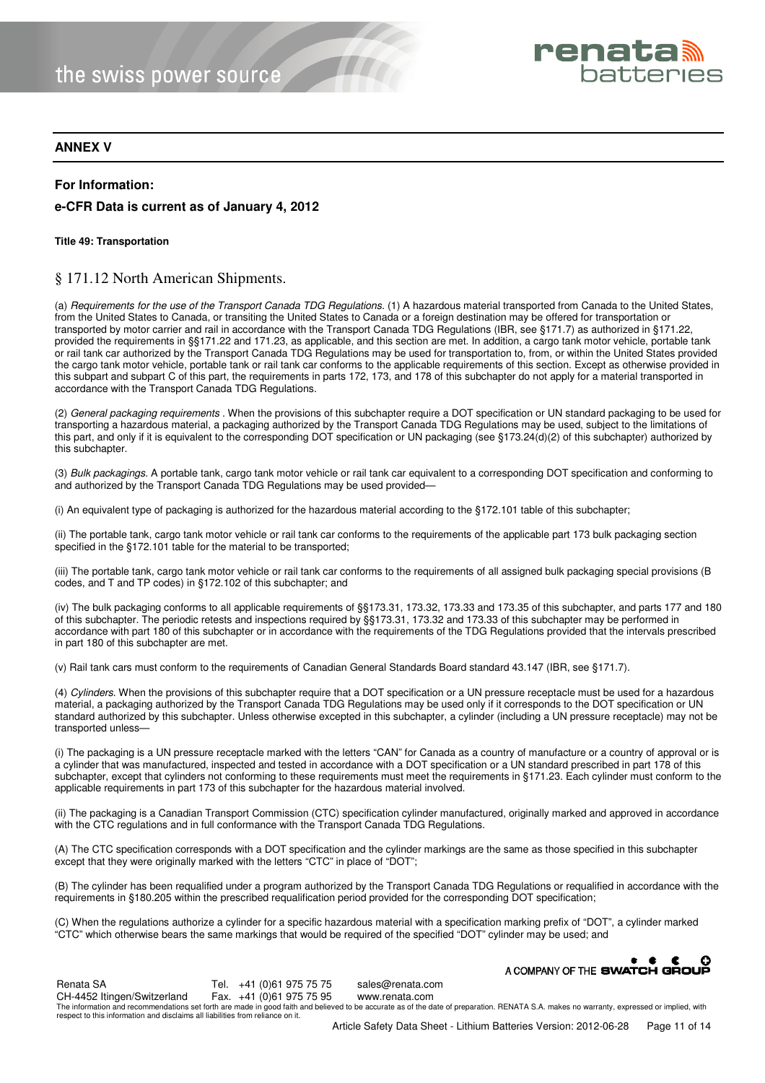### the swiss power source



#### **ANNEX V**

#### **For Information:**

#### **e-CFR Data is current as of January 4, 2012**

#### **Title 49: Transportation**

#### § 171.12 North American Shipments.

(a) Requirements for the use of the Transport Canada TDG Regulations. (1) A hazardous material transported from Canada to the United States, from the United States to Canada, or transiting the United States to Canada or a foreign destination may be offered for transportation or transported by motor carrier and rail in accordance with the Transport Canada TDG Regulations (IBR, see §171.7) as authorized in §171.22, provided the requirements in §§171.22 and 171.23, as applicable, and this section are met. In addition, a cargo tank motor vehicle, portable tank or rail tank car authorized by the Transport Canada TDG Regulations may be used for transportation to, from, or within the United States provided the cargo tank motor vehicle, portable tank or rail tank car conforms to the applicable requirements of this section. Except as otherwise provided in this subpart and subpart C of this part, the requirements in parts 172, 173, and 178 of this subchapter do not apply for a material transported in accordance with the Transport Canada TDG Regulations.

(2) General packaging requirements . When the provisions of this subchapter require a DOT specification or UN standard packaging to be used for transporting a hazardous material, a packaging authorized by the Transport Canada TDG Regulations may be used, subject to the limitations of this part, and only if it is equivalent to the corresponding DOT specification or UN packaging (see §173.24(d)(2) of this subchapter) authorized by this subchapter.

(3) Bulk packagings. A portable tank, cargo tank motor vehicle or rail tank car equivalent to a corresponding DOT specification and conforming to and authorized by the Transport Canada TDG Regulations may be used provided—

(i) An equivalent type of packaging is authorized for the hazardous material according to the §172.101 table of this subchapter;

(ii) The portable tank, cargo tank motor vehicle or rail tank car conforms to the requirements of the applicable part 173 bulk packaging section specified in the §172.101 table for the material to be transported;

(iii) The portable tank, cargo tank motor vehicle or rail tank car conforms to the requirements of all assigned bulk packaging special provisions (B codes, and T and TP codes) in §172.102 of this subchapter; and

(iv) The bulk packaging conforms to all applicable requirements of §§173.31, 173.32, 173.33 and 173.35 of this subchapter, and parts 177 and 180 of this subchapter. The periodic retests and inspections required by §§173.31, 173.32 and 173.33 of this subchapter may be performed in accordance with part 180 of this subchapter or in accordance with the requirements of the TDG Regulations provided that the intervals prescribed in part 180 of this subchapter are met.

(v) Rail tank cars must conform to the requirements of Canadian General Standards Board standard 43.147 (IBR, see §171.7).

(4) Cylinders. When the provisions of this subchapter require that a DOT specification or a UN pressure receptacle must be used for a hazardous material, a packaging authorized by the Transport Canada TDG Regulations may be used only if it corresponds to the DOT specification or UN standard authorized by this subchapter. Unless otherwise excepted in this subchapter, a cylinder (including a UN pressure receptacle) may not be transported unless—

(i) The packaging is a UN pressure receptacle marked with the letters "CAN" for Canada as a country of manufacture or a country of approval or is a cylinder that was manufactured, inspected and tested in accordance with a DOT specification or a UN standard prescribed in part 178 of this subchapter, except that cylinders not conforming to these requirements must meet the requirements in §171.23. Each cylinder must conform to the applicable requirements in part 173 of this subchapter for the hazardous material involved.

(ii) The packaging is a Canadian Transport Commission (CTC) specification cylinder manufactured, originally marked and approved in accordance with the CTC regulations and in full conformance with the Transport Canada TDG Regulations.

(A) The CTC specification corresponds with a DOT specification and the cylinder markings are the same as those specified in this subchapter except that they were originally marked with the letters "CTC" in place of "DOT";

(B) The cylinder has been requalified under a program authorized by the Transport Canada TDG Regulations or requalified in accordance with the requirements in §180.205 within the prescribed requalification period provided for the corresponding DOT specification;

(C) When the regulations authorize a cylinder for a specific hazardous material with a specification marking prefix of "DOT", a cylinder marked "CTC" which otherwise bears the same markings that would be required of the specified "DOT" cylinder may be used; and

A COMPANY OF THE SWATCH GROUP Renata SA Tel. +41 (0)61 975 75 75 sales@renata.com CH-4452 Itingen/Switzerland The information and recommendations set forth are made in good faith and believed to be accurate as of the date of preparation. RENATA S.A. makes no warranty, expressed or implied, with respect to this information and disclaims all liabilities from reliance on it.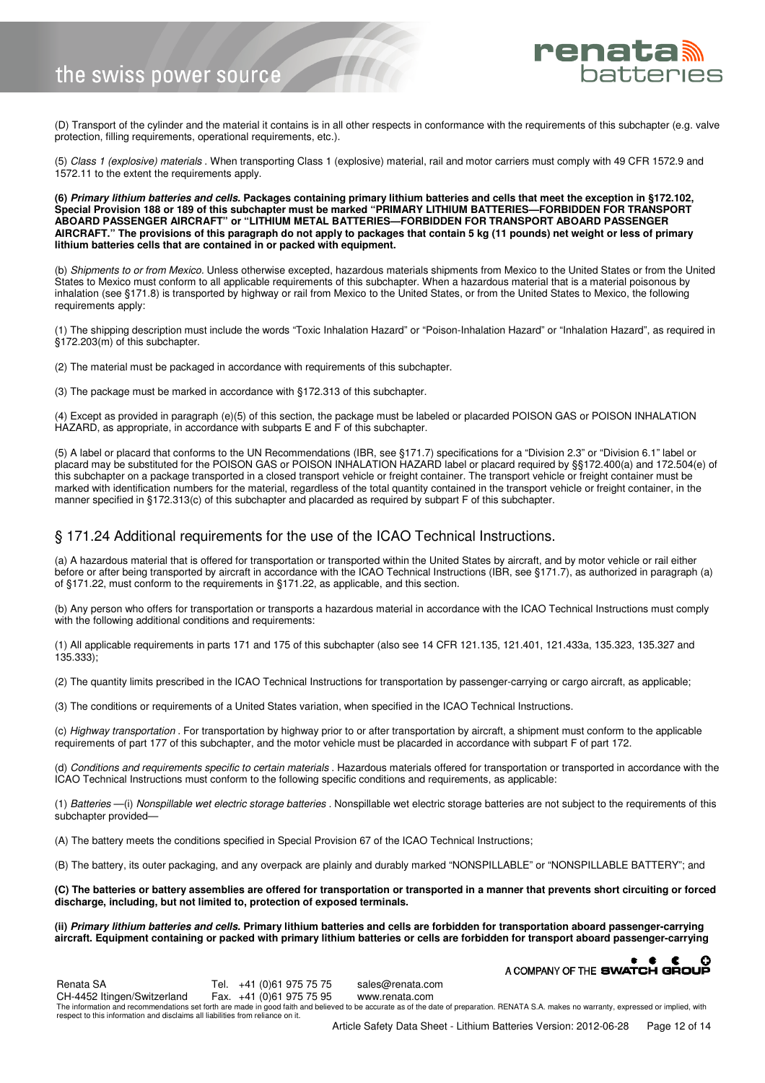

(D) Transport of the cylinder and the material it contains is in all other respects in conformance with the requirements of this subchapter (e.g. valve protection, filling requirements, operational requirements, etc.).

(5) Class 1 (explosive) materials . When transporting Class 1 (explosive) material, rail and motor carriers must comply with 49 CFR 1572.9 and 1572.11 to the extent the requirements apply.

**(6) Primary lithium batteries and cells. Packages containing primary lithium batteries and cells that meet the exception in §172.102, Special Provision 188 or 189 of this subchapter must be marked "PRIMARY LITHIUM BATTERIES—FORBIDDEN FOR TRANSPORT ABOARD PASSENGER AIRCRAFT" or "LITHIUM METAL BATTERIES—FORBIDDEN FOR TRANSPORT ABOARD PASSENGER AIRCRAFT." The provisions of this paragraph do not apply to packages that contain 5 kg (11 pounds) net weight or less of primary lithium batteries cells that are contained in or packed with equipment.** 

(b) Shipments to or from Mexico. Unless otherwise excepted, hazardous materials shipments from Mexico to the United States or from the United States to Mexico must conform to all applicable requirements of this subchapter. When a hazardous material that is a material poisonous by inhalation (see §171.8) is transported by highway or rail from Mexico to the United States, or from the United States to Mexico, the following requirements apply:

(1) The shipping description must include the words "Toxic Inhalation Hazard" or "Poison-Inhalation Hazard" or "Inhalation Hazard", as required in §172.203(m) of this subchapter.

(2) The material must be packaged in accordance with requirements of this subchapter.

(3) The package must be marked in accordance with §172.313 of this subchapter.

(4) Except as provided in paragraph (e)(5) of this section, the package must be labeled or placarded POISON GAS or POISON INHALATION HAZARD, as appropriate, in accordance with subparts E and F of this subchapter.

(5) A label or placard that conforms to the UN Recommendations (IBR, see §171.7) specifications for a "Division 2.3" or "Division 6.1" label or placard may be substituted for the POISON GAS or POISON INHALATION HAZARD label or placard required by §§172.400(a) and 172.504(e) of this subchapter on a package transported in a closed transport vehicle or freight container. The transport vehicle or freight container must be marked with identification numbers for the material, regardless of the total quantity contained in the transport vehicle or freight container, in the manner specified in §172.313(c) of this subchapter and placarded as required by subpart F of this subchapter.

#### § 171.24 Additional requirements for the use of the ICAO Technical Instructions.

(a) A hazardous material that is offered for transportation or transported within the United States by aircraft, and by motor vehicle or rail either before or after being transported by aircraft in accordance with the ICAO Technical Instructions (IBR, see §171.7), as authorized in paragraph (a) of §171.22, must conform to the requirements in §171.22, as applicable, and this section.

(b) Any person who offers for transportation or transports a hazardous material in accordance with the ICAO Technical Instructions must comply with the following additional conditions and requirements:

(1) All applicable requirements in parts 171 and 175 of this subchapter (also see 14 CFR 121.135, 121.401, 121.433a, 135.323, 135.327 and 135.333);

(2) The quantity limits prescribed in the ICAO Technical Instructions for transportation by passenger-carrying or cargo aircraft, as applicable;

(3) The conditions or requirements of a United States variation, when specified in the ICAO Technical Instructions.

(c) Highway transportation . For transportation by highway prior to or after transportation by aircraft, a shipment must conform to the applicable requirements of part 177 of this subchapter, and the motor vehicle must be placarded in accordance with subpart F of part 172.

(d) Conditions and requirements specific to certain materials . Hazardous materials offered for transportation or transported in accordance with the ICAO Technical Instructions must conform to the following specific conditions and requirements, as applicable:

(1) Batteries -(i) Nonspillable wet electric storage batteries . Nonspillable wet electric storage batteries are not subject to the requirements of this subchapter provided—

(A) The battery meets the conditions specified in Special Provision 67 of the ICAO Technical Instructions;

(B) The battery, its outer packaging, and any overpack are plainly and durably marked "NONSPILLABLE" or "NONSPILLABLE BATTERY"; and

**(C) The batteries or battery assemblies are offered for transportation or transported in a manner that prevents short circuiting or forced discharge, including, but not limited to, protection of exposed terminals.** 

**(ii) Primary lithium batteries and cells. Primary lithium batteries and cells are forbidden for transportation aboard passenger-carrying aircraft. Equipment containing or packed with primary lithium batteries or cells are forbidden for transport aboard passenger-carrying** 

|                                                                                |                          |                  | $\bullet$ $\bullet$ $\bullet$ $\circ$<br>A COMPANY OF THE SWATCH GROUP                                                                                                                    |  |
|--------------------------------------------------------------------------------|--------------------------|------------------|-------------------------------------------------------------------------------------------------------------------------------------------------------------------------------------------|--|
|                                                                                |                          |                  |                                                                                                                                                                                           |  |
| Renata SA                                                                      | Tel. +41 (0)61 975 75 75 | sales@renata.com |                                                                                                                                                                                           |  |
| CH-4452 Itingen/Switzerland                                                    | Fax. +41 (0)61 975 75 95 | www.renata.com   |                                                                                                                                                                                           |  |
| respect to this information and disclaims all liabilities from reliance on it. |                          |                  | The information and recommendations set forth are made in good faith and believed to be accurate as of the date of preparation. RENATA S.A. makes no warranty, expressed or implied, with |  |
|                                                                                |                          |                  |                                                                                                                                                                                           |  |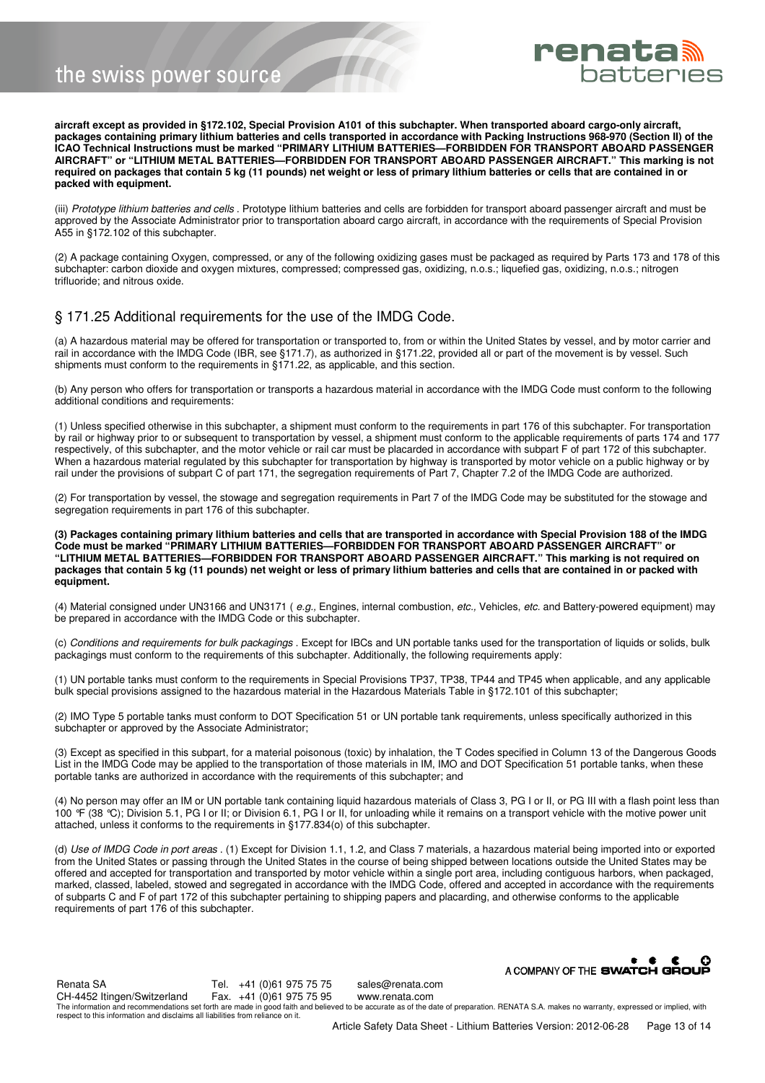

**aircraft except as provided in §172.102, Special Provision A101 of this subchapter. When transported aboard cargo-only aircraft, packages containing primary lithium batteries and cells transported in accordance with Packing Instructions 968-970 (Section II) of the ICAO Technical Instructions must be marked "PRIMARY LITHIUM BATTERIES—FORBIDDEN FOR TRANSPORT ABOARD PASSENGER AIRCRAFT" or "LITHIUM METAL BATTERIES—FORBIDDEN FOR TRANSPORT ABOARD PASSENGER AIRCRAFT." This marking is not required on packages that contain 5 kg (11 pounds) net weight or less of primary lithium batteries or cells that are contained in or packed with equipment.** 

(iii) Prototype lithium batteries and cells . Prototype lithium batteries and cells are forbidden for transport aboard passenger aircraft and must be approved by the Associate Administrator prior to transportation aboard cargo aircraft, in accordance with the requirements of Special Provision A55 in §172.102 of this subchapter.

(2) A package containing Oxygen, compressed, or any of the following oxidizing gases must be packaged as required by Parts 173 and 178 of this subchapter: carbon dioxide and oxygen mixtures, compressed; compressed gas, oxidizing, n.o.s.; liquefied gas, oxidizing, n.o.s.; nitrogen trifluoride; and nitrous oxide.

#### § 171.25 Additional requirements for the use of the IMDG Code.

(a) A hazardous material may be offered for transportation or transported to, from or within the United States by vessel, and by motor carrier and rail in accordance with the IMDG Code (IBR, see §171.7), as authorized in §171.22, provided all or part of the movement is by vessel. Such shipments must conform to the requirements in §171.22, as applicable, and this section.

(b) Any person who offers for transportation or transports a hazardous material in accordance with the IMDG Code must conform to the following additional conditions and requirements:

(1) Unless specified otherwise in this subchapter, a shipment must conform to the requirements in part 176 of this subchapter. For transportation by rail or highway prior to or subsequent to transportation by vessel, a shipment must conform to the applicable requirements of parts 174 and 177 respectively, of this subchapter, and the motor vehicle or rail car must be placarded in accordance with subpart F of part 172 of this subchapter. When a hazardous material regulated by this subchapter for transportation by highway is transported by motor vehicle on a public highway or by rail under the provisions of subpart C of part 171, the segregation requirements of Part 7, Chapter 7.2 of the IMDG Code are authorized.

(2) For transportation by vessel, the stowage and segregation requirements in Part 7 of the IMDG Code may be substituted for the stowage and segregation requirements in part 176 of this subchapter.

**(3) Packages containing primary lithium batteries and cells that are transported in accordance with Special Provision 188 of the IMDG Code must be marked "PRIMARY LITHIUM BATTERIES—FORBIDDEN FOR TRANSPORT ABOARD PASSENGER AIRCRAFT" or "LITHIUM METAL BATTERIES—FORBIDDEN FOR TRANSPORT ABOARD PASSENGER AIRCRAFT." This marking is not required on packages that contain 5 kg (11 pounds) net weight or less of primary lithium batteries and cells that are contained in or packed with equipment.** 

(4) Material consigned under UN3166 and UN3171 (e.g., Engines, internal combustion, etc., Vehicles, etc. and Battery-powered equipment) may be prepared in accordance with the IMDG Code or this subchapter.

(c) Conditions and requirements for bulk packagings . Except for IBCs and UN portable tanks used for the transportation of liquids or solids, bulk packagings must conform to the requirements of this subchapter. Additionally, the following requirements apply:

(1) UN portable tanks must conform to the requirements in Special Provisions TP37, TP38, TP44 and TP45 when applicable, and any applicable bulk special provisions assigned to the hazardous material in the Hazardous Materials Table in §172.101 of this subchapter;

(2) IMO Type 5 portable tanks must conform to DOT Specification 51 or UN portable tank requirements, unless specifically authorized in this subchapter or approved by the Associate Administrator;

(3) Except as specified in this subpart, for a material poisonous (toxic) by inhalation, the T Codes specified in Column 13 of the Dangerous Goods List in the IMDG Code may be applied to the transportation of those materials in IM, IMO and DOT Specification 51 portable tanks, when these portable tanks are authorized in accordance with the requirements of this subchapter; and

(4) No person may offer an IM or UN portable tank containing liquid hazardous materials of Class 3, PG I or II, or PG III with a flash point less than 100 °F (38 °C); Division 5.1, PG I or II; or Division 6.1, PG I or II, for unloading while it remains on a transport vehicle with the motive power unit attached, unless it conforms to the requirements in §177.834(o) of this subchapter.

(d) Use of IMDG Code in port areas . (1) Except for Division 1.1, 1.2, and Class 7 materials, a hazardous material being imported into or exported from the United States or passing through the United States in the course of being shipped between locations outside the United States may be offered and accepted for transportation and transported by motor vehicle within a single port area, including contiguous harbors, when packaged, marked, classed, labeled, stowed and segregated in accordance with the IMDG Code, offered and accepted in accordance with the requirements of subparts C and F of part 172 of this subchapter pertaining to shipping papers and placarding, and otherwise conforms to the applicable requirements of part 176 of this subchapter.

A COMPANY OF THE SWATCH GROUP Renata SA Tel. +41 (0)61 975 75 75 sales@renata.com CH-4452 Itingen/Switzerland The information and recommendations set forth are made in good faith and believed to be accurate as of the date of preparation. RENATA S.A. makes no warranty, expressed or implied, with respect to this information and disclaims all liabilities from reliance on it.